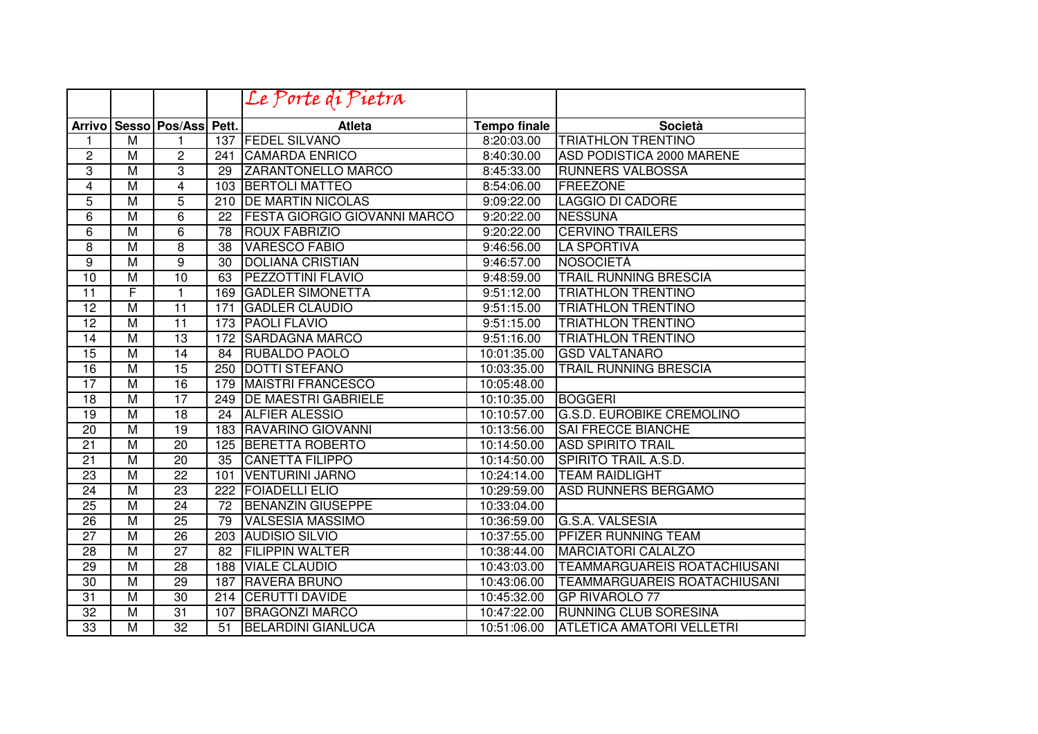|                 |                         |                            |                  | Le Porte di Pietra                  |                     |                                     |
|-----------------|-------------------------|----------------------------|------------------|-------------------------------------|---------------------|-------------------------------------|
|                 |                         | Arrivo Sesso Pos/Ass Pett. |                  | <b>Atleta</b>                       | <b>Tempo finale</b> | <b>Società</b>                      |
| 1               | M                       | 1                          | 137              | <b>FEDEL SILVANO</b>                | 8:20:03.00          | <b>TRIATHLON TRENTINO</b>           |
| $\overline{c}$  | $\overline{\mathsf{M}}$ | $\overline{c}$             | 241              | <b>CAMARDA ENRICO</b>               | 8:40:30.00          | ASD PODISTICA 2000 MARENE           |
| 3               | $\overline{M}$          | 3                          | 29               | <b>ZARANTONELLO MARCO</b>           | 8:45:33.00          | <b>RUNNERS VALBOSSA</b>             |
| 4               | $\overline{\mathsf{M}}$ | 4                          | 103              | <b>BERTOLI MATTEO</b>               | 8:54:06.00          | <b>FREEZONE</b>                     |
| $\overline{5}$  | $\overline{M}$          | 5                          | 210              | <b>DE MARTIN NICOLAS</b>            | 9:09:22.00          | <b>LAGGIO DI CADORE</b>             |
| $\overline{6}$  | $\overline{\mathsf{M}}$ | $\overline{6}$             | 22               | <b>FESTA GIORGIO GIOVANNI MARCO</b> | 9:20:22.00          | <b>NESSUNA</b>                      |
| 6               | $\overline{M}$          | 6                          | 78               | <b>ROUX FABRIZIO</b>                | 9:20:22.00          | <b>CERVINO TRAILERS</b>             |
| 8               | $\overline{\mathsf{M}}$ | $\overline{8}$             | 38               | <b>VARESCO FABIO</b>                | 9:46:56.00          | <b>LA SPORTIVA</b>                  |
| 9               | $\overline{\mathsf{M}}$ | $\overline{9}$             | 30               | <b>DOLIANA CRISTIAN</b>             | 9:46:57.00          | NOSOCIETÀ                           |
| $\overline{10}$ | M                       | 10                         | 63               | <b>PEZZOTTINI FLAVIO</b>            | 9:48:59.00          | <b>TRAIL RUNNING BRESCIA</b>        |
| $\overline{11}$ | F                       | 1                          | 169              | <b>GADLER SIMONETTA</b>             | 9:51:12.00          | <b>TRIATHLON TRENTINO</b>           |
| $\overline{12}$ | $\overline{\mathsf{M}}$ | $\overline{11}$            | 171              | <b>GADLER CLAUDIO</b>               | 9:51:15.00          | <b>TRIATHLON TRENTINO</b>           |
| $\overline{12}$ | M                       | $\overline{11}$            | 173              | <b>PAOLI FLAVIO</b>                 | 9:51:15.00          | <b>TRIATHLON TRENTINO</b>           |
| 14              | M                       | $\overline{13}$            | 172              | <b>SARDAGNA MARCO</b>               | 9:51:16.00          | <b>TRIATHLON TRENTINO</b>           |
| $\overline{15}$ | $\overline{\mathsf{M}}$ | 14                         | 84               | <b>RUBALDO PAOLO</b>                | 10:01:35.00         | <b>GSD VALTANARO</b>                |
| 16              | $\overline{\mathsf{M}}$ | $\overline{15}$            | 250              | <b>DOTTI STEFANO</b>                | 10:03:35.00         | <b>TRAIL RUNNING BRESCIA</b>        |
| 17              | $\overline{\mathsf{M}}$ | 16                         | 179              | <b>MAISTRI FRANCESCO</b>            | 10:05:48.00         |                                     |
| $\overline{18}$ | M                       | 17                         | 249              | <b>DE MAESTRI GABRIELE</b>          | 10:10:35.00         | <b>BOGGERI</b>                      |
| $\overline{19}$ | M                       | $\overline{18}$            | 24               | <b>ALFIER ALESSIO</b>               | 10:10:57.00         | <b>G.S.D. EUROBIKE CREMOLINO</b>    |
| 20              | $\overline{M}$          | $\overline{19}$            | 183              | <b>RAVARINO GIOVANNI</b>            | 10:13:56.00         | <b>SAI FRECCE BIANCHE</b>           |
| $\overline{21}$ | $\overline{\mathsf{M}}$ | $\overline{20}$            | 125              | BERETTA ROBERTO                     | 10:14:50.00         | <b>ASD SPIRITO TRAIL</b>            |
| 21              | $\overline{\mathsf{M}}$ | $\overline{20}$            | 35               | <b>CANETTA FILIPPO</b>              | 10:14:50.00         | SPIRITO TRAIL A.S.D.                |
| 23              | $\overline{\mathsf{M}}$ | $\overline{22}$            | 101              | <b>VENTURINI JARNO</b>              | 10:24:14.00         | <b>TEAM RAIDLIGHT</b>               |
| 24              | $\overline{\mathsf{M}}$ | $\overline{23}$            | 222              | <b>FOIADELLI ELIO</b>               | 10:29:59.00         | <b>ASD RUNNERS BERGAMO</b>          |
| 25              | $\overline{M}$          | 24                         | 72               | <b>BENANZIN GIUSEPPE</b>            | 10:33:04.00         |                                     |
| $\overline{26}$ | M                       | $\overline{25}$            | 79               | <b>VALSESIA MASSIMO</b>             | 10:36:59.00         | G.S.A. VALSESIA                     |
| $\overline{27}$ | M                       | 26                         | $\overline{203}$ | <b>AUDISIO SILVIO</b>               | 10:37:55.00         | <b>PFIZER RUNNING TEAM</b>          |
| $\overline{28}$ | M                       | $\overline{27}$            | $\overline{82}$  | <b>FILIPPIN WALTER</b>              | 10:38:44.00         | <b>MARCIATORI CALALZO</b>           |
| $\overline{29}$ | M                       | 28                         | 188              | <b>VIALE CLAUDIO</b>                | 10:43:03.00         | <b>TEAMMARGUAREIS ROATACHIUSANI</b> |
| $\overline{30}$ | M                       | 29                         | 187              | <b>RAVERA BRUNO</b>                 | 10:43:06.00         | <b>TEAMMARGUAREIS ROATACHIUSANI</b> |
| $\overline{31}$ | M                       | 30                         | 214              | <b>ICERUTTI DAVIDE</b>              | 10:45:32.00         | <b>GP RIVAROLO 77</b>               |
| 32              | M                       | $\overline{31}$            | 107              | <b>BRAGONZI MARCO</b>               | 10:47:22.00         | <b>RUNNING CLUB SORESINA</b>        |
| $\overline{33}$ | $\overline{\mathsf{M}}$ | $\overline{32}$            | 51               | <b>BELARDINI GIANLUCA</b>           | 10:51:06.00         | <b>ATLETICA AMATORI VELLETRI</b>    |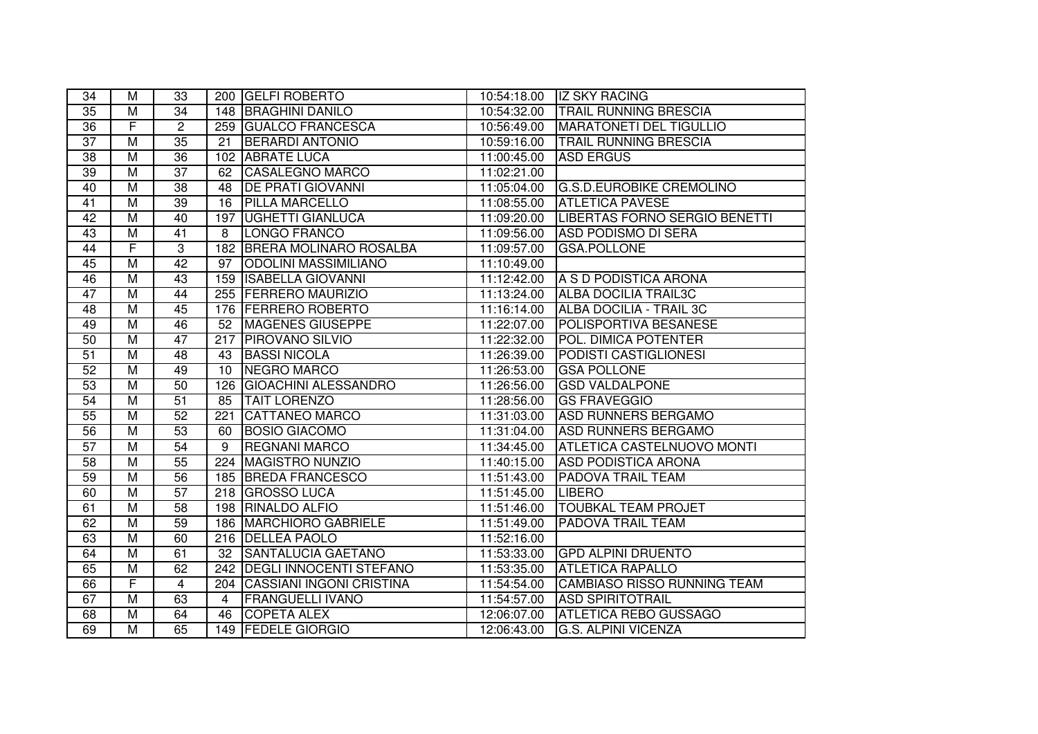| 34              | M                       | 33              |                  | 200 GELFI ROBERTO               |             |                                      |
|-----------------|-------------------------|-----------------|------------------|---------------------------------|-------------|--------------------------------------|
| 35              | M                       | $\overline{34}$ |                  | 148 BRAGHINI DANILO             | 10:54:32.00 | <b>TRAIL RUNNING BRESCIA</b>         |
| $\overline{36}$ | F                       | $\overline{2}$  |                  | 259 GUALCO FRANCESCA            | 10:56:49.00 | <b>MARATONETI DEL TIGULLIO</b>       |
| $\overline{37}$ | $\overline{M}$          | 35              | 21               | <b>BERARDI ANTONIO</b>          | 10:59:16.00 | <b>TRAIL RUNNING BRESCIA</b>         |
| 38              | $\overline{M}$          | 36              | 102              | <b>ABRATE LUCA</b>              | 11:00:45.00 | <b>ASD ERGUS</b>                     |
| 39              | $\overline{M}$          | $\overline{37}$ | 62               | CASALEGNO MARCO                 | 11:02:21.00 |                                      |
| 40              | $\overline{\mathsf{M}}$ | $\overline{38}$ | 48               | <b>DE PRATI GIOVANNI</b>        | 11:05:04.00 | <b>G.S.D.EUROBIKE CREMOLINO</b>      |
| $\overline{41}$ | $\overline{M}$          | 39              | 16               | <b>PILLA MARCELLO</b>           | 11:08:55.00 | <b>ATLETICA PAVESE</b>               |
| 42              | $\overline{M}$          | 40              | 197              | <b>UGHETTI GIANLUCA</b>         | 11:09:20.00 | <b>LIBERTAS FORNO SERGIO BENETTI</b> |
| 43              | $\overline{\mathsf{M}}$ | $\overline{41}$ | 8                | <b>LONGO FRANCO</b>             | 11:09:56.00 | <b>ASD PODISMO DI SERA</b>           |
| 44              | F                       | $\overline{3}$  | 182              | <b>BRERA MOLINARO ROSALBA</b>   | 11:09:57.00 | <b>GSA.POLLONE</b>                   |
| 45              | $\overline{\mathsf{M}}$ | 42              | $\overline{97}$  | <b>ODOLINI MASSIMILIANO</b>     | 11:10:49.00 |                                      |
| 46              | $\overline{M}$          | $\overline{43}$ | 159              | <b>ISABELLA GIOVANNI</b>        | 11:12:42.00 | A S D PODISTICA ARONA                |
| 47              | $\overline{\mathsf{M}}$ | 44              |                  | 255 FERRERO MAURIZIO            | 11:13:24.00 | <b>ALBA DOCILIA TRAIL3C</b>          |
| 48              | $\overline{\mathsf{M}}$ | 45              |                  | 176 FERRERO ROBERTO             | 11:16:14.00 | ALBA DOCILIA - TRAIL 3C              |
| 49              | $\overline{\mathsf{M}}$ | 46              | 52               | <b>MAGENES GIUSEPPE</b>         | 11:22:07.00 | <b>POLISPORTIVA BESANESE</b>         |
| 50              | $\overline{M}$          | $\overline{47}$ | 217              | <b>PIROVANO SILVIO</b>          | 11:22:32.00 | POL. DIMICA POTENTER                 |
| 51              | $\overline{M}$          | $\overline{48}$ | 43               | <b>BASSI NICOLA</b>             | 11:26:39.00 | PODISTI CASTIGLIONESI                |
| 52              | $\overline{M}$          | 49              | 10               | NEGRO MARCO                     | 11:26:53.00 | <b>GSA POLLONE</b>                   |
| 53              | M                       | 50              | 126              | <b>GIOACHINI ALESSANDRO</b>     | 11:26:56.00 | <b>GSD VALDALPONE</b>                |
| 54              | M                       | 51              | 85               | <b>TAIT LORENZO</b>             | 11:28:56.00 | <b>GS FRAVEGGIO</b>                  |
| 55              | M                       | 52              | 221              | <b>CATTANEO MARCO</b>           | 11:31:03.00 | <b>ASD RUNNERS BERGAMO</b>           |
| 56              | $\overline{M}$          | 53              | 60               | <b>BOSIO GIACOMO</b>            | 11:31:04.00 | <b>ASD RUNNERS BERGAMO</b>           |
| 57              | $\overline{M}$          | 54              | 9                | <b>REGNANI MARCO</b>            | 11:34:45.00 | ATLETICA CASTELNUOVO MONTI           |
| $\overline{58}$ | M                       | 55              | 224              | <b>MAGISTRO NUNZIO</b>          | 11:40:15.00 | <b>ASD PODISTICA ARONA</b>           |
| 59              | $\overline{M}$          | 56              |                  | 185 BREDA FRANCESCO             | 11:51:43.00 | <b>PADOVA TRAIL TEAM</b>             |
| 60              | $\overline{M}$          | 57              |                  | 218 GROSSO LUCA                 | 11:51:45.00 | <b>LIBERO</b>                        |
| 61              | M                       | $\overline{58}$ |                  | 198 RINALDO ALFIO               | 11:51:46.00 | <b>TOUBKAL TEAM PROJET</b>           |
| 62              | $\overline{\mathsf{M}}$ | 59              | 186              | <b>MARCHIORO GABRIELE</b>       | 11:51:49.00 | <b>PADOVA TRAIL TEAM</b>             |
| 63              | $\overline{M}$          | 60              |                  | 216 DELLEA PAOLO                | 11:52:16.00 |                                      |
| 64              | $\overline{M}$          | 61              | $\overline{32}$  | <b>SANTALUCIA GAETANO</b>       | 11:53:33.00 | <b>GPD ALPINI DRUENTO</b>            |
| 65              | $\overline{M}$          | 62              | $\overline{242}$ | <b>DEGLI INNOCENTI STEFANO</b>  | 11:53:35.00 | <b>ATLETICA RAPALLO</b>              |
| 66              | F                       | $\overline{4}$  | 204              | <b>CASSIANI INGONI CRISTINA</b> | 11:54:54.00 | <b>CAMBIASO RISSO RUNNING TEAM</b>   |
| 67              | $\overline{\mathsf{M}}$ | 63              | $\overline{4}$   | <b>FRANGUELLI IVANO</b>         | 11:54:57.00 | <b>ASD SPIRITOTRAIL</b>              |
| 68              | $\overline{M}$          | 64              | 46               | <b>COPETA ALEX</b>              | 12:06:07.00 | <b>ATLETICA REBO GUSSAGO</b>         |
| 69              | $\overline{M}$          | 65              |                  | 149 FEDELE GIORGIO              | 12:06:43.00 | <b>G.S. ALPINI VICENZA</b>           |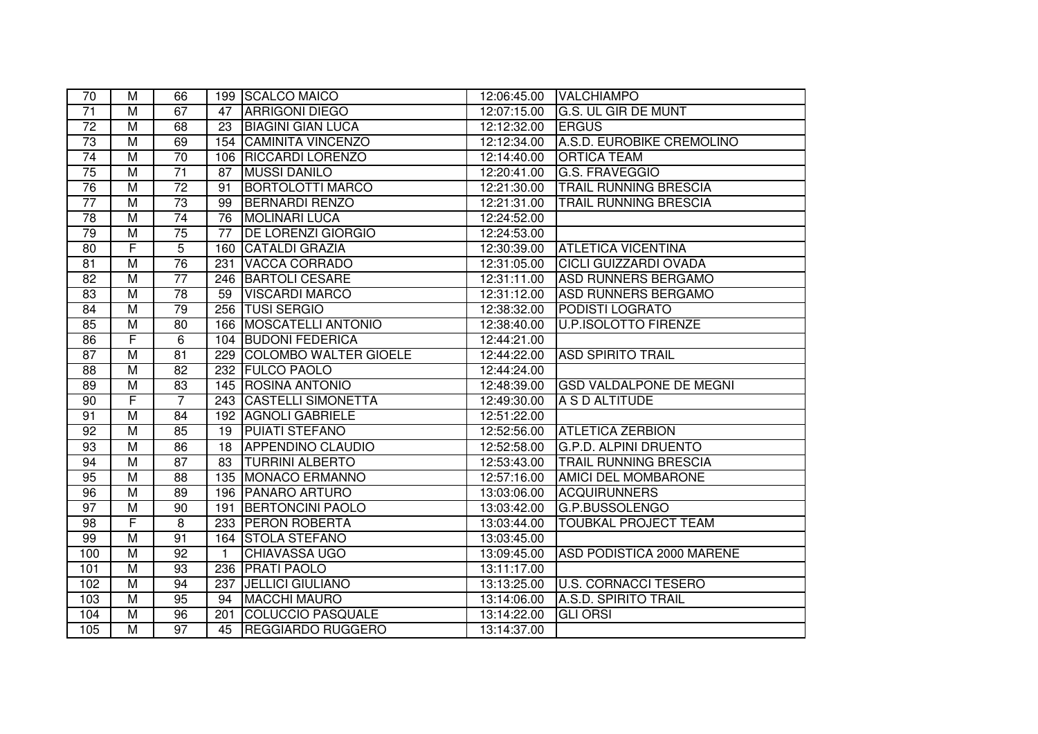| 70              | M                       | 66              |                 | 199 SCALCO MAICO          | 12:06:45.00 | <b>VALCHIAMPO</b>              |
|-----------------|-------------------------|-----------------|-----------------|---------------------------|-------------|--------------------------------|
| $\overline{71}$ | M                       | 67              | 47              | <b>ARRIGONI DIEGO</b>     | 12:07:15.00 | <b>G.S. UL GIR DE MUNT</b>     |
| $\overline{72}$ | $\overline{M}$          | 68              | 23              | <b>BIAGINI GIAN LUCA</b>  | 12:12:32.00 | <b>ERGUS</b>                   |
| 73              | $\overline{M}$          | 69              | 154             | CAMINITA VINCENZO         | 12:12:34.00 | A.S.D. EUROBIKE CREMOLINO      |
| 74              | $\overline{M}$          | 70              | 106             | <b>RICCARDI LORENZO</b>   | 12:14:40.00 | <b>ORTICA TEAM</b>             |
| 75              | $\overline{M}$          | $\overline{71}$ | 87              | <b>MUSSI DANILO</b>       | 12:20:41.00 | G.S. FRAVEGGIO                 |
| 76              | $\overline{M}$          | $\overline{72}$ | 91              | <b>BORTOLOTTI MARCO</b>   | 12:21:30.00 | <b>TRAIL RUNNING BRESCIA</b>   |
| $\overline{77}$ | $\overline{M}$          | $\overline{73}$ | 99              | <b>BERNARDI RENZO</b>     | 12:21:31.00 | <b>TRAIL RUNNING BRESCIA</b>   |
| $\overline{78}$ | $\overline{M}$          | $\overline{74}$ | 76              | <b>MOLINARI LUCA</b>      | 12:24:52.00 |                                |
| 79              | $\overline{M}$          | 75              | $\overline{77}$ | <b>DE LORENZI GIORGIO</b> | 12:24:53.00 |                                |
| 80              | $\overline{\mathsf{F}}$ | 5               | 160             | <b>CATALDI GRAZIA</b>     | 12:30:39.00 | <b>ATLETICA VICENTINA</b>      |
| 81              | $\overline{M}$          | 76              | 231             | <b>VACCA CORRADO</b>      | 12:31:05.00 | <b>CICLI GUIZZARDI OVADA</b>   |
| 82              | $\overline{M}$          | $\overline{77}$ | 246             | <b>BARTOLI CESARE</b>     | 12:31:11.00 | <b>ASD RUNNERS BERGAMO</b>     |
| 83              | $\overline{M}$          | 78              | 59              | <b>VISCARDI MARCO</b>     | 12:31:12.00 | <b>ASD RUNNERS BERGAMO</b>     |
| 84              | $\overline{M}$          | 79              |                 | 256 TUSI SERGIO           | 12:38:32.00 | PODISTI LOGRATO                |
| 85              | $\overline{\mathsf{M}}$ | $\overline{80}$ |                 | 166 MOSCATELLI ANTONIO    | 12:38:40.00 | <b>U.P.ISOLOTTO FIRENZE</b>    |
| 86              | F                       | 6               |                 | 104 BUDONI FEDERICA       | 12:44:21.00 |                                |
| 87              | M                       | $\overline{81}$ |                 | 229 COLOMBO WALTER GIOELE | 12:44:22.00 | <b>ASD SPIRITO TRAIL</b>       |
| 88              | $\overline{M}$          | $\overline{82}$ | 232             | <b>FULCO PAOLO</b>        | 12:44:24.00 |                                |
| 89              | M                       | 83              |                 | 145   ROSINA ANTONIO      | 12:48:39.00 | <b>GSD VALDALPONE DE MEGNI</b> |
| 90              | F                       | $\overline{7}$  |                 | 243 CASTELLI SIMONETTA    | 12:49:30.00 | A S D ALTITUDE                 |
| 91              | M                       | 84              | 192             | <b>AGNOLI GABRIELE</b>    | 12:51:22.00 |                                |
| 92              | $\overline{M}$          | 85              | 19              | <b>PUIATI STEFANO</b>     | 12:52:56.00 | <b>ATLETICA ZERBION</b>        |
| 93              | M                       | 86              | 18              | <b>APPENDINO CLAUDIO</b>  | 12:52:58.00 | <b>G.P.D. ALPINI DRUENTO</b>   |
| 94              | $\overline{M}$          | 87              | 83              | <b>TURRINI ALBERTO</b>    | 12:53:43.00 | <b>TRAIL RUNNING BRESCIA</b>   |
| 95              | $\overline{M}$          | 88              |                 | 135 MONACO ERMANNO        | 12:57:16.00 | AMICI DEL MOMBARONE            |
| 96              | $\overline{M}$          | 89              |                 | 196   PANARO ARTURO       | 13:03:06.00 | <b>ACQUIRUNNERS</b>            |
| 97              | $\overline{M}$          | 90              | 191             | <b>BERTONCINI PAOLO</b>   | 13:03:42.00 | <b>G.P.BUSSOLENGO</b>          |
| 98              | $\overline{\mathsf{F}}$ | $\overline{8}$  | 233             | <b>PERON ROBERTA</b>      | 13:03:44.00 | <b>TOUBKAL PROJECT TEAM</b>    |
| 99              | $\overline{M}$          | 91              | 164             | <b>STOLA STEFANO</b>      | 13:03:45.00 |                                |
| 100             | $\overline{M}$          | 92              | $\overline{1}$  | <b>CHIAVASSA UGO</b>      | 13:09:45.00 | ASD PODISTICA 2000 MARENE      |
| 101             | $\overline{M}$          | $\overline{93}$ | 236             | <b>PRATI PAOLO</b>        | 13:11:17.00 |                                |
| 102             | $\overline{M}$          | 94              | 237             | <b>JELLICI GIULIANO</b>   | 13:13:25.00 | <b>U.S. CORNACCI TESERO</b>    |
| 103             | $\overline{\mathsf{M}}$ | 95              | 94              | <b>MACCHI MAURO</b>       | 13:14:06.00 | A.S.D. SPIRITO TRAIL           |
| 104             | $\overline{M}$          | 96              | 201             | <b>COLUCCIO PASQUALE</b>  | 13:14:22.00 | <b>GLI ORSI</b>                |
| 105             | $\overline{M}$          | 97              | 45              | <b>REGGIARDO RUGGERO</b>  | 13:14:37.00 |                                |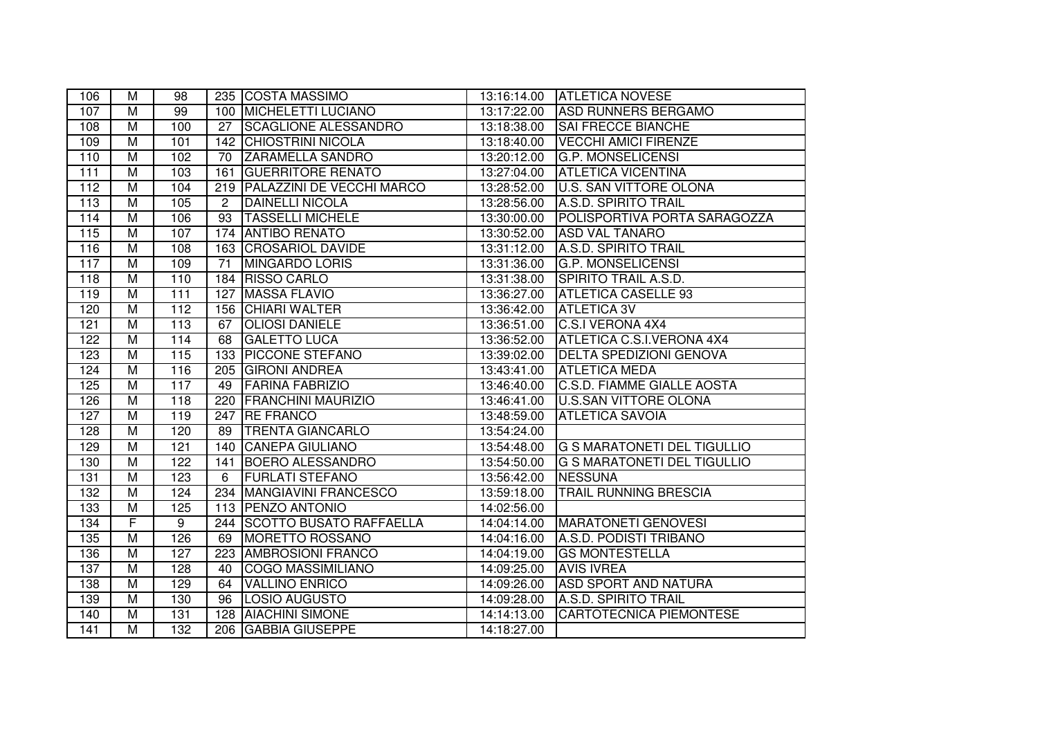| 106 | М                       | 98               |                | 235 COSTA MASSIMO                | 13:16:14.00 | <b>ATLETICA NOVESE</b>             |
|-----|-------------------------|------------------|----------------|----------------------------------|-------------|------------------------------------|
| 107 | M                       | 99               |                | 100 MICHELETTI LUCIANO           | 13:17:22.00 | <b>ASD RUNNERS BERGAMO</b>         |
| 108 | $\overline{M}$          | 100              | 27             | SCAGLIONE ALESSANDRO             | 13:18:38.00 | <b>SAI FRECCE BIANCHE</b>          |
| 109 | M                       | 101              | 142            | <b>CHIOSTRINI NICOLA</b>         | 13:18:40.00 | <b>VECCHI AMICI FIRENZE</b>        |
| 110 | $\overline{M}$          | 102              | 70             | <b>ZARAMELLA SANDRO</b>          | 13:20:12.00 | <b>G.P. MONSELICENSI</b>           |
| 111 | $\overline{M}$          | 103              | 161            | <b>GUERRITORE RENATO</b>         | 13:27:04.00 | <b>ATLETICA VICENTINA</b>          |
| 112 | $\overline{\mathsf{M}}$ | 104              | 219            | <b>PALAZZINI DE VECCHI MARCO</b> | 13:28:52.00 | <b>U.S. SAN VITTORE OLONA</b>      |
| 113 | $\overline{M}$          | 105              | $\overline{2}$ | <b>DAINELLI NICOLA</b>           | 13:28:56.00 | A.S.D. SPIRITO TRAIL               |
| 114 | $\overline{M}$          | 106              | 93             | <b>TASSELLI MICHELE</b>          | 13:30:00.00 | POLISPORTIVA PORTA SARAGOZZA       |
| 115 | $\overline{\mathsf{M}}$ | 107              |                | 174 ANTIBO RENATO                | 13:30:52.00 | <b>ASD VAL TANARO</b>              |
| 116 | $\overline{M}$          | 108              |                | 163 CROSARIOL DAVIDE             | 13:31:12.00 | A.S.D. SPIRITO TRAIL               |
| 117 | $\overline{M}$          | 109              | 71             | <b>MINGARDO LORIS</b>            | 13:31:36.00 | <b>G.P. MONSELICENSI</b>           |
| 118 | $\overline{M}$          | $\overline{110}$ | 184            | <b>RISSO CARLO</b>               | 13:31:38.00 | SPIRITO TRAIL A.S.D.               |
| 119 | $\overline{M}$          | $\overline{111}$ | 127            | <b>MASSA FLAVIO</b>              | 13:36:27.00 | <b>ATLETICA CASELLE 93</b>         |
| 120 | $\overline{M}$          | $\overline{112}$ | 156            | <b>CHIARI WALTER</b>             | 13:36:42.00 | <b>ATLETICA 3V</b>                 |
| 121 | $\overline{\mathsf{M}}$ | $\overline{113}$ | 67             | <b>OLIOSI DANIELE</b>            | 13:36:51.00 | <b>C.S.I VERONA 4X4</b>            |
| 122 | $\overline{M}$          | 114              | 68             | <b>GALETTO LUCA</b>              | 13:36:52.00 | ATLETICA C.S.I.VERONA 4X4          |
| 123 | $\overline{M}$          | 115              | 133            | <b>PICCONE STEFANO</b>           | 13:39:02.00 | <b>DELTA SPEDIZIONI GENOVA</b>     |
| 124 | $\overline{M}$          | 116              | 205            | <b>GIRONI ANDREA</b>             | 13:43:41.00 | <b>ATLETICA MEDA</b>               |
| 125 | M                       | 117              | 49             | <b>FARINA FABRIZIO</b>           | 13:46:40.00 | C.S.D. FIAMME GIALLE AOSTA         |
| 126 | M                       | 118              | 220            | <b>FRANCHINI MAURIZIO</b>        | 13:46:41.00 | <b>U.S.SAN VITTORE OLONA</b>       |
| 127 | M                       | 119              | 247            | <b>RE FRANCO</b>                 | 13:48:59.00 | <b>ATLETICA SAVOIA</b>             |
| 128 | $\overline{M}$          | 120              | 89             | <b>TRENTA GIANCARLO</b>          | 13:54:24.00 |                                    |
| 129 | M                       | 121              | 140            | <b>CANEPA GIULIANO</b>           | 13:54:48.00 | <b>G S MARATONETI DEL TIGULLIO</b> |
| 130 | $\overline{\mathsf{M}}$ | 122              | 141            | <b>BOERO ALESSANDRO</b>          | 13:54:50.00 | G S MARATONETI DEL TIGULLIO        |
| 131 | $\overline{M}$          | 123              | 6              | <b>FURLATI STEFANO</b>           | 13:56:42.00 | <b>NESSUNA</b>                     |
| 132 | $\overline{M}$          | 124              | 234            | <b>MANGIAVINI FRANCESCO</b>      | 13:59:18.00 | <b>TRAIL RUNNING BRESCIA</b>       |
| 133 | $\overline{M}$          | 125              |                | 113 PENZO ANTONIO                | 14:02:56.00 |                                    |
| 134 | $\overline{F}$          | $\overline{9}$   | 244            | <b>SCOTTO BUSATO RAFFAELLA</b>   | 14:04:14.00 | <b>MARATONETI GENOVESI</b>         |
| 135 | $\overline{M}$          | 126              | 69             | MORETTO ROSSANO                  | 14:04:16.00 | A.S.D. PODISTI TRIBANO             |
| 136 | $\overline{M}$          | 127              | 223            | <b>AMBROSIONI FRANCO</b>         | 14:04:19.00 | <b>GS MONTESTELLA</b>              |
| 137 | $\overline{M}$          | 128              | 40             | <b>COGO MASSIMILIANO</b>         | 14:09:25.00 | <b>AVIS IVREA</b>                  |
| 138 | $\overline{M}$          | 129              | 64             | <b>VALLINO ENRICO</b>            | 14:09:26.00 | <b>ASD SPORT AND NATURA</b>        |
| 139 | $\overline{\mathsf{M}}$ | 130              | 96             | LOSIO AUGUSTO                    | 14:09:28.00 | <b>A.S.D. SPIRITO TRAIL</b>        |
| 140 | $\overline{M}$          | 131              | 128            | <b>AIACHINI SIMONE</b>           | 14:14:13.00 | <b>CARTOTECNICA PIEMONTESE</b>     |
| 141 | $\overline{M}$          | 132              | 206            | <b>GABBIA GIUSEPPE</b>           | 14:18:27.00 |                                    |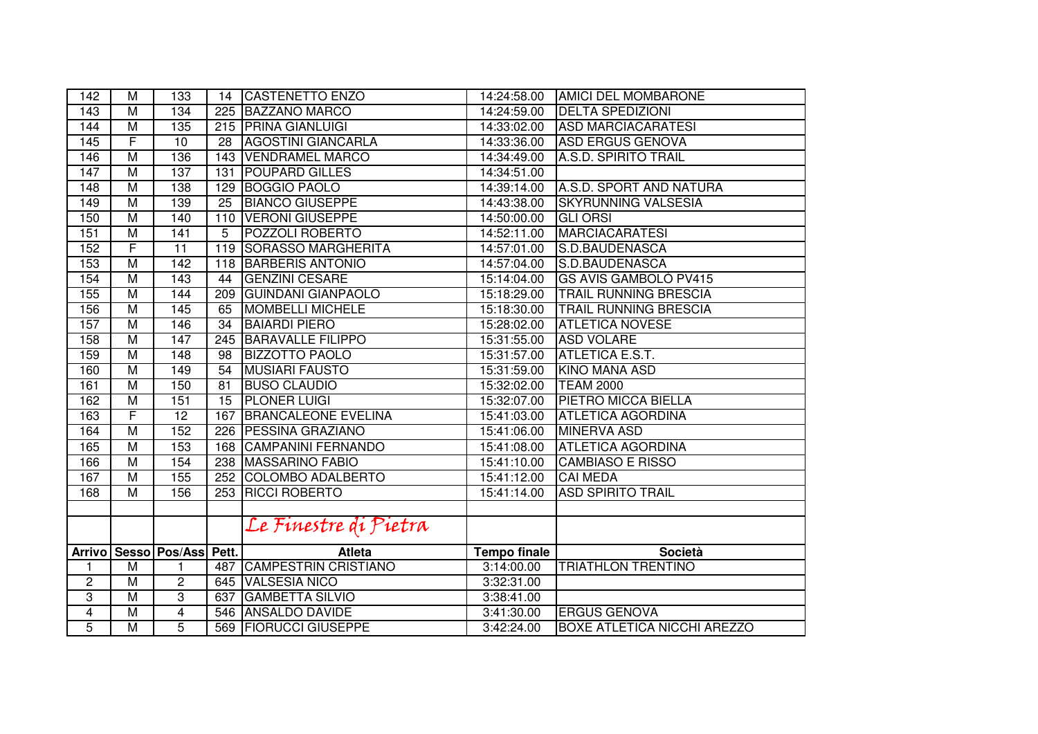| 142              | М                       | 133                     | 14               | <b>CASTENETTO ENZO</b>        | 14:24:58.00         | <b>AMICI DEL MOMBARONE</b>         |
|------------------|-------------------------|-------------------------|------------------|-------------------------------|---------------------|------------------------------------|
| 143              | $\overline{M}$          | 134                     | 225              | <b>BAZZANO MARCO</b>          | 14:24:59.00         | <b>DELTA SPEDIZIONI</b>            |
| 144              | M                       | 135                     |                  | 215 PRINA GIANLUIGI           | 14:33:02.00         | <b>ASD MARCIACARATESI</b>          |
| 145              | F                       | 10                      | 28               | <b>AGOSTINI GIANCARLA</b>     | 14:33:36.00         | <b>ASD ERGUS GENOVA</b>            |
| 146              | M                       | 136                     | 143              | <b>VENDRAMEL MARCO</b>        | 14:34:49.00         | <b>A.S.D. SPIRITO TRAIL</b>        |
| 147              | $\overline{M}$          | 137                     | 131              | <b>POUPARD GILLES</b>         | 14:34:51.00         |                                    |
| $\overline{148}$ | M                       | 138                     | $\overline{129}$ | <b>BOGGIO PAOLO</b>           | 14:39:14.00         | A.S.D. SPORT AND NATURA            |
| 149              | $\overline{M}$          | 139                     | $\overline{25}$  | <b>BIANCO GIUSEPPE</b>        | 14:43:38.00         | <b>SKYRUNNING VALSESIA</b>         |
| 150              | M                       | $\overline{140}$        | 110              | <b>VERONI GIUSEPPE</b>        | 14:50:00.00         | <b>GLI ORSI</b>                    |
| 151              | M                       | 141                     | 5                | <b>POZZOLI ROBERTO</b>        | 14:52:11.00         | <b>MARCIACARATESI</b>              |
| 152              | $\overline{\mathsf{F}}$ | $\overline{11}$         | 119              | <b>SORASSO MARGHERITA</b>     | 14:57:01.00         | S.D.BAUDENASCA                     |
| 153              | $\overline{\mathsf{M}}$ | $\overline{142}$        | 118              | <b>BARBERIS ANTONIO</b>       | 14:57:04.00         | S.D.BAUDENASCA                     |
| 154              | $\overline{\mathsf{M}}$ | 143                     | 44               | <b>GENZINI CESARE</b>         | 15:14:04.00         | <b>GS AVIS GAMBOLO PV415</b>       |
| 155              | M                       | 144                     | 209              | <b>GUINDANI GIANPAOLO</b>     | 15:18:29.00         | <b>TRAIL RUNNING BRESCIA</b>       |
| 156              | $\overline{\mathsf{M}}$ | 145                     | 65               | MOMBELLI MICHELE              | 15:18:30.00         | <b>TRAIL RUNNING BRESCIA</b>       |
| 157              | $\overline{\mathsf{M}}$ | 146                     | 34               | <b>BAIARDI PIERO</b>          | 15:28:02.00         | <b>ATLETICA NOVESE</b>             |
| 158              | M                       | 147                     | 245              | <b>BARAVALLE FILIPPO</b>      | 15:31:55.00         | <b>ASD VOLARE</b>                  |
| 159              | $\overline{M}$          | 148                     | 98               | <b>BIZZOTTO PAOLO</b>         | 15:31:57.00         | ATLETICA E.S.T.                    |
| 160              | M                       | 149                     | 54               | <b>MUSIARI FAUSTO</b>         | 15:31:59.00         | <b>KINO MANA ASD</b>               |
| 161              | M                       | 150                     | 81               | <b>BUSO CLAUDIO</b>           | 15:32:02.00         | <b>TEAM 2000</b>                   |
| 162              | M                       | 151                     | 15               | <b>PLONER LUIGI</b>           | 15:32:07.00         | PIETRO MICCA BIELLA                |
| 163              | F                       | 12                      | 167              | <b>BRANCALEONE EVELINA</b>    | 15:41:03.00         | <b>ATLETICA AGORDINA</b>           |
| 164              | M                       | 152                     | 226              | <b>PESSINA GRAZIANO</b>       | 15:41:06.00         | <b>MINERVA ASD</b>                 |
| 165              | $\overline{M}$          | 153                     |                  | <b>168 CAMPANINI FERNANDO</b> | 15:41:08.00         | <b>ATLETICA AGORDINA</b>           |
| 166              | $\overline{\mathsf{M}}$ | 154                     | 238              | <b>MASSARINO FABIO</b>        | 15:41:10.00         | <b>CAMBIASO E RISSO</b>            |
| 167              | $\overline{\mathsf{M}}$ | 155                     | 252              | <b>COLOMBO ADALBERTO</b>      | 15:41:12.00         | <b>CAI MEDA</b>                    |
| 168              | M                       | 156                     | 253              | <b>RICCI ROBERTO</b>          | 15:41:14.00         | <b>ASD SPIRITO TRAIL</b>           |
|                  |                         |                         |                  |                               |                     |                                    |
|                  |                         |                         |                  | Le Finestre di Pietra         |                     |                                    |
| <b>Arrivo</b>    |                         | Sesso   Pos/Ass   Pett. |                  | <b>Atleta</b>                 | <b>Tempo finale</b> | <b>Società</b>                     |
| 1                | M                       | 1                       | 487              | <b>CAMPESTRIN CRISTIANO</b>   | 3:14:00.00          | <b>TRIATHLON TRENTINO</b>          |
| $\overline{c}$   | M                       | 2                       | 645              | <b>VALSESIA NICO</b>          | 3:32:31.00          |                                    |
| 3                | M                       | 3                       | 637              | <b>GAMBETTA SILVIO</b>        | 3:38:41.00          |                                    |
| $\overline{4}$   | M                       | 4                       |                  | 546 ANSALDO DAVIDE            | 3:41:30.00          | <b>ERGUS GENOVA</b>                |
| 5                | M                       | 5                       |                  | 569   FIORUCCI GIUSEPPE       | 3:42:24.00          | <b>BOXE ATLETICA NICCHI AREZZO</b> |
|                  |                         |                         |                  |                               |                     |                                    |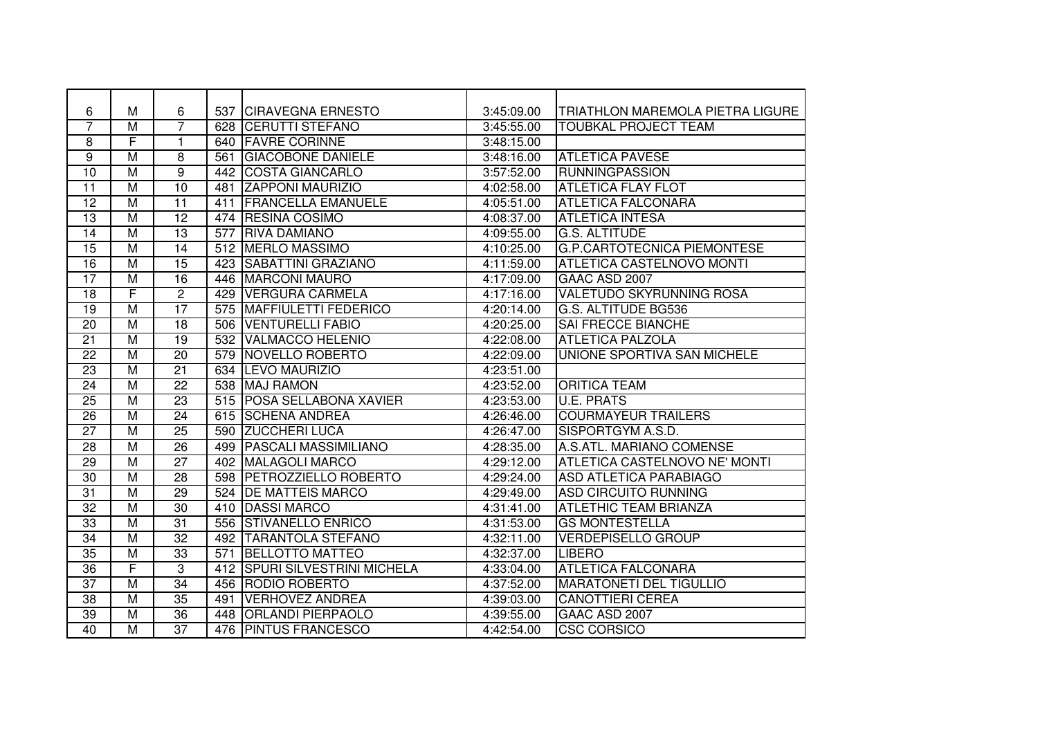| 6               | M                       | 6               | 537 | <b>CIRAVEGNA ERNESTO</b>         | 3:45:09.00              | TRIATHLON MAREMOLA PIETRA LIGURE   |
|-----------------|-------------------------|-----------------|-----|----------------------------------|-------------------------|------------------------------------|
| 7               | M                       | 7               | 628 | <b>CERUTTI STEFANO</b>           | 3:45:55.00              | <b>TOUBKAL PROJECT TEAM</b>        |
| 8               | F                       | 1               | 640 | <b>FAVRE CORINNE</b>             | 3:48:15.00              |                                    |
| 9               | $\overline{M}$          | 8               | 561 | <b>GIACOBONE DANIELE</b>         | 3:48:16.00              | <b>ATLETICA PAVESE</b>             |
| $\overline{10}$ | $\overline{\mathsf{M}}$ | $\overline{9}$  | 442 | <b>COSTA GIANCARLO</b>           | 3:57:52.00              | <b>RUNNINGPASSION</b>              |
| $\overline{11}$ | $\overline{M}$          | 10              | 481 | <b>ZAPPONI MAURIZIO</b>          | 4:02:58.00              | <b>ATLETICA FLAY FLOT</b>          |
| $\overline{12}$ | $\overline{M}$          | $\overline{11}$ | 411 | <b>FRANCELLA EMANUELE</b>        | 4:05:51.00              | <b>ATLETICA FALCONARA</b>          |
| $\overline{13}$ | $\overline{M}$          | $\overline{12}$ |     | 474 RESINA COSIMO                | 4:08:37.00              | <b>ATLETICA INTESA</b>             |
| 14              | $\overline{\mathsf{M}}$ | 13              | 577 | <b>RIVA DAMIANO</b>              | 4:09:55.00              | <b>G.S. ALTITUDE</b>               |
| $\overline{15}$ | $\overline{M}$          | 14              | 512 | <b>IMERLO MASSIMO</b>            | 4:10:25.00              | <b>G.P.CARTOTECNICA PIEMONTESE</b> |
| $\overline{16}$ | M                       | $\overline{15}$ | 423 | <b>SABATTINI GRAZIANO</b>        | 4:11:59.00              | <b>ATLETICA CASTELNOVO MONTI</b>   |
| $\overline{17}$ | $\overline{M}$          | $\overline{16}$ | 446 | <b>MARCONI MAURO</b>             | $\overline{4:17:09.00}$ | GAAC ASD 2007                      |
| 18              | F                       | $\overline{2}$  | 429 | <b>VERGURA CARMELA</b>           | 4:17:16.00              | <b>VALETUDO SKYRUNNING ROSA</b>    |
| $\overline{19}$ | M                       | 17              | 575 | <b>MAFFIULETTI FEDERICO</b>      | 4:20:14.00              | G.S. ALTITUDE BG536                |
| 20              | $\overline{\mathsf{M}}$ | $\overline{18}$ | 506 | <b>VENTURELLI FABIO</b>          | 4:20:25.00              | <b>SAI FRECCE BIANCHE</b>          |
| 21              | M                       | $\overline{19}$ | 532 | VALMACCO HELENIO                 | 4:22:08.00              | <b>ATLETICA PALZOLA</b>            |
| 22              | M                       | 20              | 579 | NOVELLO ROBERTO                  | 4:22:09.00              | UNIONE SPORTIVA SAN MICHELE        |
| 23              | $\overline{M}$          | $\overline{21}$ | 634 | <b>LEVO MAURIZIO</b>             | 4:23:51.00              |                                    |
| 24              | $\overline{M}$          | $\overline{22}$ | 538 | <b>MAJ RAMON</b>                 | 4:23:52.00              | <b>ORITICA TEAM</b>                |
| $\overline{25}$ | $\overline{M}$          | $\overline{23}$ | 515 | <b>POSA SELLABONA XAVIER</b>     | 4:23:53.00              | <b>U.E. PRATS</b>                  |
| $\overline{26}$ | $\overline{M}$          | $\overline{24}$ | 615 | <b>SCHENA ANDREA</b>             | 4:26:46.00              | <b>COURMAYEUR TRAILERS</b>         |
| $\overline{27}$ | M                       | $\overline{25}$ | 590 | <b>ZUCCHERI LUCA</b>             | 4:26:47.00              | SISPORTGYM A.S.D.                  |
| 28              | $\overline{M}$          | 26              | 499 | <b>PASCALI MASSIMILIANO</b>      | 4:28:35.00              | A.S.ATL. MARIANO COMENSE           |
| $\overline{29}$ | $\overline{\mathsf{M}}$ | $\overline{27}$ | 402 | <b>MALAGOLI MARCO</b>            | 4:29:12.00              | ATLETICA CASTELNOVO NE' MONTI      |
| 30              | M                       | 28              | 598 | <b>PETROZZIELLO ROBERTO</b>      | 4:29:24.00              | <b>ASD ATLETICA PARABIAGO</b>      |
| 31              | $\overline{M}$          | $\overline{29}$ | 524 | <b>DE MATTEIS MARCO</b>          | 4:29:49.00              | <b>ASD CIRCUITO RUNNING</b>        |
| 32              | $\overline{M}$          | 30              | 410 | <b>DASSI MARCO</b>               | 4:31:41.00              | <b>ATLETHIC TEAM BRIANZA</b>       |
| $\overline{33}$ | $\overline{\mathsf{M}}$ | 31              | 556 | <b>STIVANELLO ENRICO</b>         | 4:31:53.00              | <b>GS MONTESTELLA</b>              |
| 34              | $\overline{M}$          | 32              | 492 | <b>TARANTOLA STEFANO</b>         | 4:32:11.00              | <b>VERDEPISELLO GROUP</b>          |
| $\overline{35}$ | $\overline{\mathsf{M}}$ | $\overline{33}$ | 571 | <b>BELLOTTO MATTEO</b>           | 4:32:37.00              | <b>LIBERO</b>                      |
| $\overline{36}$ | F                       | $\overline{3}$  | 412 | <b>SPURI SILVESTRINI MICHELA</b> | 4:33:04.00              | <b>ATLETICA FALCONARA</b>          |
| $\overline{37}$ | M                       | $\overline{34}$ | 456 | <b>RODIO ROBERTO</b>             | 4:37:52.00              | <b>MARATONETI DEL TIGULLIO</b>     |
| $\overline{38}$ | $\overline{M}$          | $\overline{35}$ | 491 | <b>VERHOVEZ ANDREA</b>           | 4:39:03.00              | <b>CANOTTIERI CEREA</b>            |
| $\overline{39}$ | $\overline{M}$          | 36              | 448 | <b>ORLANDI PIERPAOLO</b>         | 4:39:55.00              | GAAC ASD 2007                      |
| $\overline{40}$ | M                       | $\overline{37}$ | 476 | <b>PINTUS FRANCESCO</b>          | 4:42:54.00              | <b>CSC CORSICO</b>                 |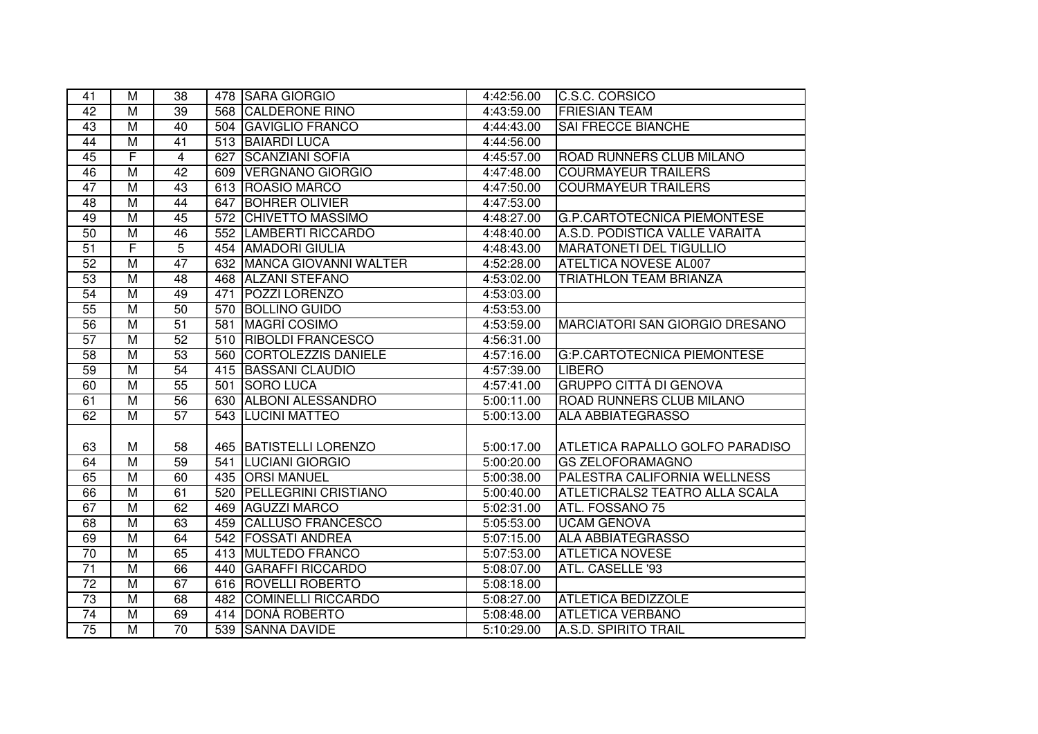| 41              | M                       | 38              |     | 478 SARA GIORGIO            | 4:42:56.00 | C.S.C. CORSICO                        |
|-----------------|-------------------------|-----------------|-----|-----------------------------|------------|---------------------------------------|
| 42              | $\overline{M}$          | 39              |     | 568 CALDERONE RINO          | 4:43:59.00 | <b>FRIESIAN TEAM</b>                  |
| 43              | $\overline{M}$          | 40              |     | 504 GAVIGLIO FRANCO         | 4:44:43.00 | <b>SAI FRECCE BIANCHE</b>             |
| 44              | $\overline{M}$          | $\overline{41}$ |     | 513 BAIARDI LUCA            | 4:44:56.00 |                                       |
| 45              | F                       | 4               | 627 | <b>SCANZIANI SOFIA</b>      | 4:45:57.00 | ROAD RUNNERS CLUB MILANO              |
| 46              | M                       | 42              |     | 609 VERGNANO GIORGIO        | 4:47:48.00 | <b>COURMAYEUR TRAILERS</b>            |
| 47              | $\overline{M}$          | 43              |     | 613   ROASIO MARCO          | 4:47:50.00 | <b>COURMAYEUR TRAILERS</b>            |
| 48              | $\overline{M}$          | 44              |     | 647 BOHRER OLIVIER          | 4:47:53.00 |                                       |
| 49              | $\overline{\mathsf{M}}$ | 45              |     | 572 CHIVETTO MASSIMO        | 4:48:27.00 | <b>G.P.CARTOTECNICA PIEMONTESE</b>    |
| 50              | $\overline{\mathsf{M}}$ | 46              |     | 552 LAMBERTI RICCARDO       | 4:48:40.00 | A.S.D. PODISTICA VALLE VARAITA        |
| $\overline{51}$ | F                       | $\overline{5}$  |     | 454 AMADORI GIULIA          | 4:48:43.00 | <b>MARATONETI DEL TIGULLIO</b>        |
| 52              | $\overline{M}$          | 47              |     | 632 MANCA GIOVANNI WALTER   | 4:52:28.00 | <b>ATELTICA NOVESE AL007</b>          |
| 53              | $\overline{M}$          | $\overline{48}$ |     | 468 ALZANI STEFANO          | 4:53:02.00 | <b>TRIATHLON TEAM BRIANZA</b>         |
| 54              | $\overline{M}$          | 49              | 471 | <b>POZZI LORENZO</b>        | 4:53:03.00 |                                       |
| 55              | $\overline{\mathsf{M}}$ | 50              |     | 570 BOLLINO GUIDO           | 4:53:53.00 |                                       |
| 56              | $\overline{M}$          | $\overline{51}$ |     | 581 MAGRI COSIMO            | 4:53:59.00 | <b>MARCIATORI SAN GIORGIO DRESANO</b> |
| 57              | M                       | $\overline{52}$ |     | 510 RIBOLDI FRANCESCO       | 4:56:31.00 |                                       |
| 58              | M                       | 53              |     | 560 CORTOLEZZIS DANIELE     | 4:57:16.00 | <b>G:P.CARTOTECNICA PIEMONTESE</b>    |
| 59              | $\overline{M}$          | 54              | 415 | <b>BASSANI CLAUDIO</b>      | 4:57:39.00 | <b>LIBERO</b>                         |
| 60              | $\overline{M}$          | 55              | 501 | <b>SORO LUCA</b>            | 4:57:41.00 | <b>GRUPPO CITTÀ DI GENOVA</b>         |
| 61              | M                       | 56              | 630 | <b>ALBONI ALESSANDRO</b>    | 5:00:11.00 | ROAD RUNNERS CLUB MILANO              |
| 62              | M                       | 57              |     | 543 LUCINI MATTEO           | 5:00:13.00 | <b>ALA ABBIATEGRASSO</b>              |
|                 |                         |                 |     |                             |            |                                       |
| 63              | M                       | 58              |     | 465 BATISTELLI LORENZO      | 5:00:17.00 | ATLETICA RAPALLO GOLFO PARADISO       |
| 64              | $\overline{\mathsf{M}}$ | 59              | 541 | <b>LUCIANI GIORGIO</b>      | 5:00:20.00 | <b>GS ZELOFORAMAGNO</b>               |
| 65              | M                       | 60              |     | 435 ORSI MANUEL             | 5:00:38.00 | PALESTRA CALIFORNIA WELLNESS          |
| 66              | $\overline{M}$          | 61              | 520 | <b>PELLEGRINI CRISTIANO</b> | 5:00:40.00 | ATLETICRALS2 TEATRO ALLA SCALA        |
| 67              | $\overline{M}$          | 62              |     | 469 AGUZZI MARCO            | 5:02:31.00 | ATL. FOSSANO 75                       |
| 68              | $\overline{\mathsf{M}}$ | 63              |     | 459 CALLUSO FRANCESCO       | 5:05:53.00 | <b>UCAM GENOVA</b>                    |
| 69              | $\overline{M}$          | 64              |     | 542 FOSSATI ANDREA          | 5:07:15.00 | <b>ALA ABBIATEGRASSO</b>              |
| $\overline{70}$ | $\overline{M}$          | 65              |     | 413 MULTEDO FRANCO          | 5:07:53.00 | <b>ATLETICA NOVESE</b>                |
| $\overline{71}$ | $\overline{M}$          | 66              | 440 | <b>GARAFFI RICCARDO</b>     | 5:08:07.00 | ATL. CASELLE '93                      |
| $\overline{72}$ | $\overline{\mathsf{M}}$ | 67              |     | 616 ROVELLI ROBERTO         | 5:08:18.00 |                                       |
| 73              | $\overline{\mathsf{M}}$ | 68              |     | 482 COMINELLI RICCARDO      | 5:08:27.00 | <b>ATLETICA BEDIZZOLE</b>             |
| 74              | $\overline{\mathsf{M}}$ | 69              |     | 414 DONÀ ROBERTO            | 5:08:48.00 | <b>ATLETICA VERBANO</b>               |
| 75              | $\overline{M}$          | $\overline{70}$ |     | 539 SANNA DAVIDE            | 5:10:29.00 | <b>A.S.D. SPIRITO TRAIL</b>           |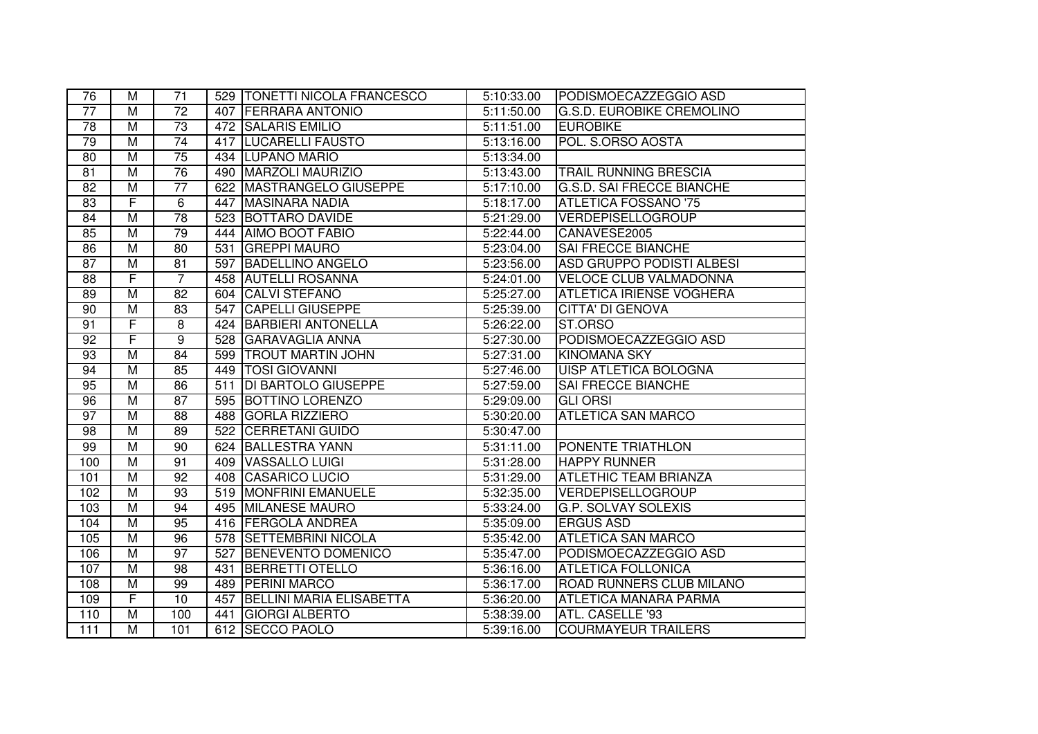| 76              | м                       | 71              |     | 529   TONETTI NICOLA FRANCESCO | 5:10:33.00              | PODISMOECAZZEGGIO ASD            |
|-----------------|-------------------------|-----------------|-----|--------------------------------|-------------------------|----------------------------------|
| 77              | M                       | $\overline{72}$ |     | <b>407 FERRARA ANTONIO</b>     | 5:11:50.00              | <b>G.S.D. EUROBIKE CREMOLINO</b> |
| $\overline{78}$ | $\overline{M}$          | $\overline{73}$ |     | 472 SALARIS EMILIO             | 5:11:51.00              | <b>EUROBIKE</b>                  |
| 79              | $\overline{M}$          | 74              |     | 417   LUCARELLI FAUSTO         | 5:13:16.00              | POL. S.ORSO AOSTA                |
| 80              | $\overline{M}$          | $\overline{75}$ |     | 434 LUPANO MARIO               | 5:13:34.00              |                                  |
| 81              | $\overline{M}$          | 76              |     | 490   MARZOLI MAURIZIO         | 5:13:43.00              | TRAIL RUNNING BRESCIA            |
| $\overline{82}$ | $\overline{M}$          | $\overline{77}$ | 622 | <b>MASTRANGELO GIUSEPPE</b>    | 5:17:10.00              | <b>G.S.D. SAI FRECCE BIANCHE</b> |
| 83              | F                       | 6               | 447 | MASINARA NADIA                 | 5:18:17.00              | <b>ATLETICA FOSSANO '75</b>      |
| 84              | $\overline{\mathsf{M}}$ | 78              |     | 523 BOTTARO DAVIDE             | 5:21:29.00              | <b>VERDEPISELLOGROUP</b>         |
| 85              | M                       | 79              |     | 444   AIMO BOOT FABIO          | 5:22:44.00              | CANAVESE2005                     |
| 86              | $\overline{M}$          | 80              | 531 | <b>GREPPI MAURO</b>            | 5:23:04.00              | <b>SAI FRECCE BIANCHE</b>        |
| 87              | $\overline{M}$          | 81              |     | 597 BADELLINO ANGELO           | 5:23:56.00              | <b>ASD GRUPPO PODISTI ALBESI</b> |
| 88              | F                       | $\overline{7}$  |     | 458 AUTELLI ROSANNA            | 5:24:01.00              | <b>VELOCE CLUB VALMADONNA</b>    |
| 89              | $\overline{M}$          | 82              |     | 604 CALVI STEFANO              | 5:25:27.00              | <b>ATLETICA IRIENSE VOGHERA</b>  |
| 90              | $\overline{M}$          | 83              | 547 | <b>CAPELLI GIUSEPPE</b>        | 5:25:39.00              | <b>CITTA' DI GENOVA</b>          |
| 91              | F                       | 8               | 424 | <b>BARBIERI ANTONELLA</b>      | 5:26:22.00              | ST.ORSO                          |
| 92              | F                       | 9               |     | 528 GARAVAGLIA ANNA            | 5:27:30.00              | PODISMOECAZZEGGIO ASD            |
| 93              | $\overline{M}$          | 84              |     | 599   TROUT MARTIN JOHN        | 5:27:31.00              | <b>KINOMANA SKY</b>              |
| 94              | M                       | 85              |     | 449   TOSI GIOVANNI            | 5:27:46.00              | <b>UISP ATLETICA BOLOGNA</b>     |
| 95              | M                       | 86              | 511 | <b>DI BARTOLO GIUSEPPE</b>     | 5:27:59.00              | SAI FRECCE BIANCHE               |
| 96              | M                       | 87              | 595 | <b>BOTTINO LORENZO</b>         | 5:29:09.00              | <b>GLI ORSI</b>                  |
| 97              | M                       | 88              | 488 | <b>GORLA RIZZIERO</b>          | 5:30:20.00              | <b>ATLETICA SAN MARCO</b>        |
| 98              | $\overline{M}$          | 89              | 522 | <b>CERRETANI GUIDO</b>         | 5:30:47.00              |                                  |
| 99              | $\overline{M}$          | $\overline{90}$ | 624 | <b>BALLESTRA YANN</b>          | 5:31:11.00              | PONENTE TRIATHLON                |
| 100             | M                       | 91              | 409 | VASSALLO LUIGI                 | $\overline{5:}31:28.00$ | <b>HAPPY RUNNER</b>              |
| 101             | $\overline{\mathsf{M}}$ | $\overline{92}$ |     | 408 CASARICO LUCIO             | 5:31:29.00              | <b>ATLETHIC TEAM BRIANZA</b>     |
| 102             | M                       | 93              |     | 519 MONFRINI EMANUELE          | 5:32:35.00              | <b>VERDEPISELLOGROUP</b>         |
| 103             | $\overline{M}$          | 94              |     | 495 MILANESE MAURO             | 5:33:24.00              | <b>G.P. SOLVAY SOLEXIS</b>       |
| 104             | $\overline{M}$          | 95              |     | 416   FERGOLA ANDREA           | 5:35:09.00              | <b>ERGUS ASD</b>                 |
| 105             | $\overline{M}$          | $\overline{96}$ |     | 578 SETTEMBRINI NICOLA         | 5:35:42.00              | <b>ATLETICA SAN MARCO</b>        |
| 106             | M                       | 97              | 527 | <b>BENEVENTO DOMENICO</b>      | 5:35:47.00              | PODISMOECAZZEGGIO ASD            |
| 107             | $\overline{M}$          | 98              | 431 | <b>BERRETTI OTELLO</b>         | 5:36:16.00              | <b>ATLETICA FOLLONICA</b>        |
| 108             | $\overline{M}$          | 99              | 489 | <b>PERINI MARCO</b>            | 5:36:17.00              | <b>ROAD RUNNERS CLUB MILANO</b>  |
| 109             | F                       | $\overline{10}$ | 457 | BELLINI MARIA ELISABETTA       | 5:36:20.00              | <b>ATLETICA MANARA PARMA</b>     |
| 110             | $\overline{M}$          | 100             | 441 | <b>GIORGI ALBERTO</b>          | 5:38:39.00              | ATL. CASELLE '93                 |
| 111             | $\overline{M}$          | 101             |     | 612 SECCO PAOLO                | 5:39:16.00              | <b>COURMAYEUR TRAILERS</b>       |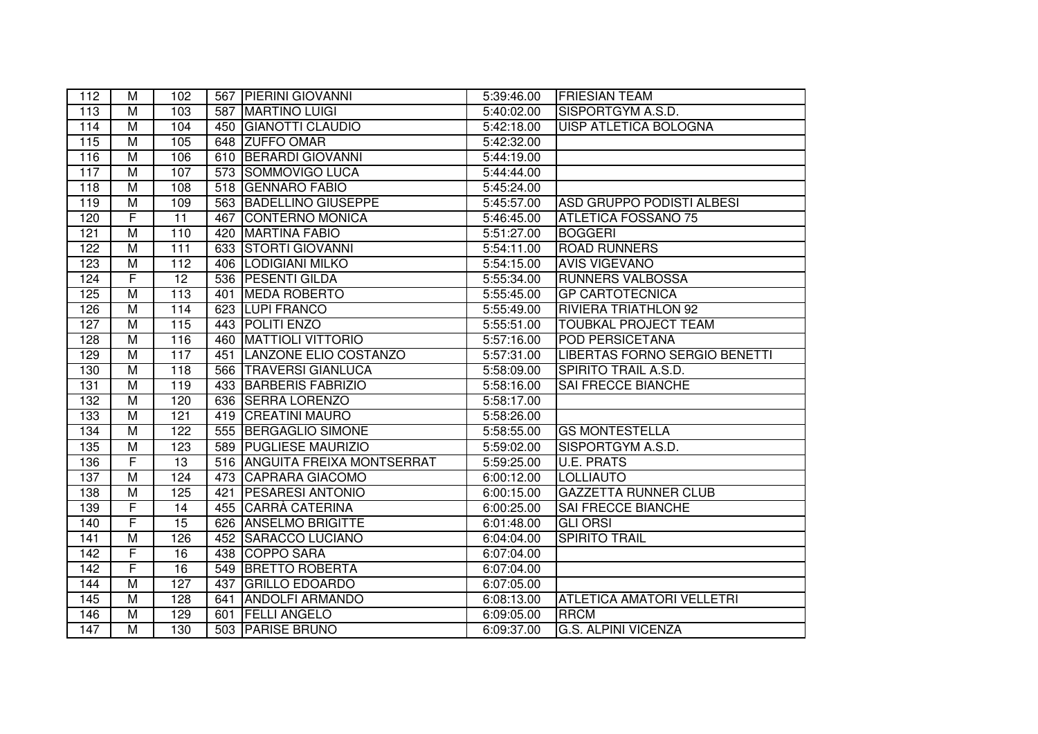| 112              | м                       | 102              |     | 567 PIERINI GIOVANNI            | 5:39:46.00              | <b>FRIESIAN TEAM</b>             |
|------------------|-------------------------|------------------|-----|---------------------------------|-------------------------|----------------------------------|
| 113              | M                       | 103              | 587 | <b>MARTINO LUIGI</b>            | 5:40:02.00              | SISPORTGYM A.S.D.                |
| 114              | $\overline{M}$          | 104              | 450 | <b>GIANOTTI CLAUDIO</b>         | 5:42:18.00              | UISP ATLETICA BOLOGNA            |
| 115              | M                       | 105              | 648 | <b>ZUFFO OMAR</b>               | $\overline{5:}42:32.00$ |                                  |
| 116              | $\overline{M}$          | 106              | 610 | <b>BERARDI GIOVANNI</b>         | 5:44:19.00              |                                  |
| 117              | M                       | 107              |     | 573 SOMMOVIGO LUCA              | 5:44:44.00              |                                  |
| 118              | $\overline{M}$          | 108              |     | 518 GENNARO FABIO               | 5:45:24.00              |                                  |
| 119              | $\overline{M}$          | 109              |     | 563 BADELLINO GIUSEPPE          | 5:45:57.00              | ASD GRUPPO PODISTI ALBESI        |
| 120              | F                       | $\overline{11}$  | 467 | <b>CONTERNO MONICA</b>          | 5:46:45.00              | <b>ATLETICA FOSSANO 75</b>       |
| 121              | $\overline{M}$          | 110              | 420 | <b>MARTINA FABIO</b>            | 5:51:27.00              | <b>BOGGERI</b>                   |
| 122              | $\overline{M}$          | 111              |     | 633 STORTI GIOVANNI             | 5:54:11.00              | <b>ROAD RUNNERS</b>              |
| 123              | $\overline{M}$          | $\overline{112}$ |     | 406 LODIGIANI MILKO             | 5:54:15.00              | <b>AVIS VIGEVANO</b>             |
| 124              | F                       | $\overline{12}$  |     | 536 PESENTI GILDA               | 5:55:34.00              | <b>RUNNERS VALBOSSA</b>          |
| 125              | $\overline{M}$          | $\overline{113}$ | 401 | <b>MEDA ROBERTO</b>             | 5:55:45.00              | <b>GP CARTOTECNICA</b>           |
| 126              | $\overline{M}$          | 114              |     | 623 LUPI FRANCO                 | 5:55:49.00              | <b>RIVIERA TRIATHLON 92</b>      |
| 127              | $\overline{\mathsf{M}}$ | 115              |     | 443 POLITI ENZO                 | 5:55:51.00              | <b>TOUBKAL PROJECT TEAM</b>      |
| 128              | $\overline{M}$          | 116              | 460 | <b>MATTIOLI VITTORIO</b>        | $\overline{5:}57:16.00$ | <b>POD PERSICETANA</b>           |
| 129              | $\overline{M}$          | 117              | 451 | LANZONE ELIO COSTANZO           | 5:57:31.00              | LIBERTAS FORNO SERGIO BENETTI    |
| 130              | $\overline{M}$          | 118              | 566 | <b>TRAVERSI GIANLUCA</b>        | 5:58:09.00              | SPIRITO TRAIL A.S.D.             |
| 131              | M                       | 119              | 433 | <b>BARBERIS FABRIZIO</b>        | 5:58:16.00              | SAI FRECCE BIANCHE               |
| 132              | M                       | 120              | 636 | <b>SERRA LORENZO</b>            | 5:58:17.00              |                                  |
| 133              | M                       | 121              | 419 | <b>CREATINI MAURO</b>           | 5:58:26.00              |                                  |
| 134              | $\overline{M}$          | 122              | 555 | <b>BERGAGLIO SIMONE</b>         | 5:58:55.00              | <b>GS MONTESTELLA</b>            |
| 135              | M                       | 123              | 589 | <b>PUGLIESE MAURIZIO</b>        | 5:59:02.00              | SISPORTGYM A.S.D.                |
| 136              | F                       | 13               |     | 516   ANGUITA FREIXA MONTSERRAT | 5:59:25.00              | <b>U.E. PRATS</b>                |
| 137              | $\overline{M}$          | 124              |     | 473 CAPRARA GIACOMO             | 6:00:12.00              | <b>LOLLIAUTO</b>                 |
| 138              | $\overline{M}$          | 125              | 421 | <b>PESARESI ANTONIO</b>         | 6:00:15.00              | <b>GAZZETTA RUNNER CLUB</b>      |
| 139              | F                       | 14               |     | 455 CARRÀ CATERINA              | 6:00:25.00              | <b>SAI FRECCE BIANCHE</b>        |
| 140              | $\overline{\mathsf{F}}$ | 15               |     | 626 ANSELMO BRIGITTE            | 6:01:48.00              | <b>GLI ORSI</b>                  |
| 141              | $\overline{M}$          | 126              | 452 | <b>SARACCO LUCIANO</b>          | 6:04:04.00              | <b>SPIRITO TRAIL</b>             |
| $\overline{142}$ | F                       | $\overline{16}$  |     | 438 COPPO SARA                  | 6:07:04.00              |                                  |
| $\overline{142}$ | F                       | $\overline{16}$  | 549 | <b>BRETTO ROBERTA</b>           | 6:07:04.00              |                                  |
| 144              | $\overline{M}$          | 127              | 437 | <b>GRILLO EDOARDO</b>           | 6:07:05.00              |                                  |
| 145              | $\overline{\mathsf{M}}$ | 128              | 641 | <b>ANDOLFI ARMANDO</b>          | 6:08:13.00              | <b>ATLETICA AMATORI VELLETRI</b> |
| 146              | $\overline{M}$          | 129              | 601 | <b>FELLI ANGELO</b>             | 6:09:05.00              | <b>RRCM</b>                      |
| $\overline{147}$ | $\overline{M}$          | 130              |     | 503 PARISE BRUNO                | 6:09:37.00              | <b>G.S. ALPINI VICENZA</b>       |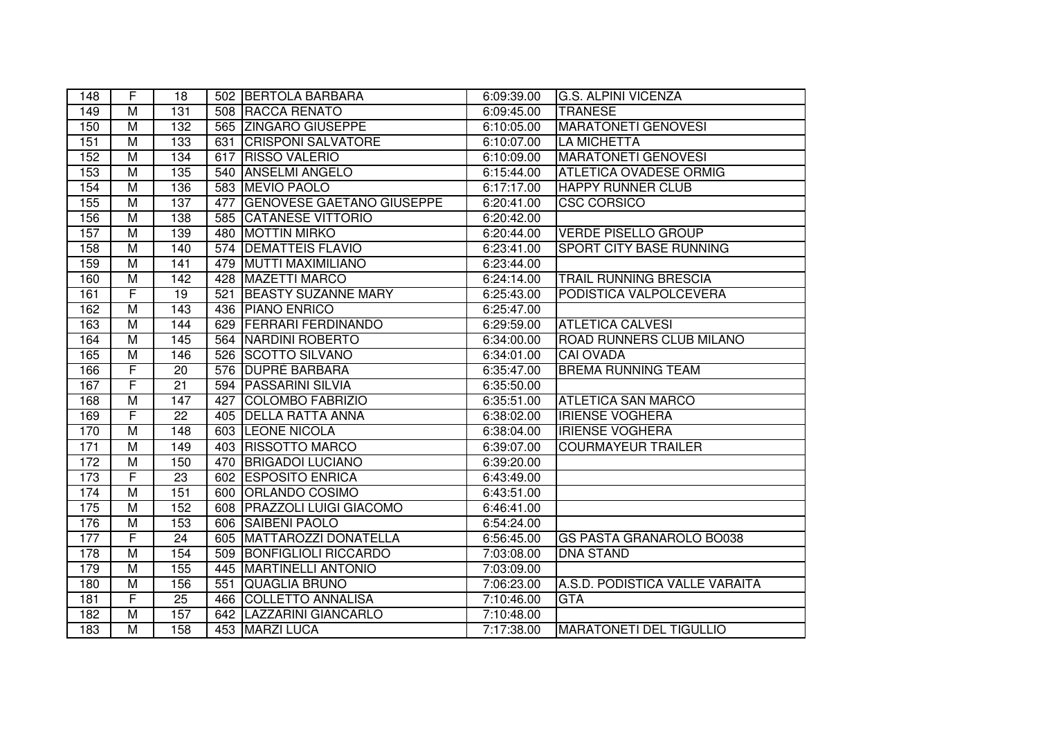| 148 | F                       | 18               |     | 502 BERTOLA BARBARA              | 6:09:39.00 | <b>G.S. ALPINI VICENZA</b>      |
|-----|-------------------------|------------------|-----|----------------------------------|------------|---------------------------------|
| 149 | M                       | 131              |     | 508 RACCA RENATO                 | 6:09:45.00 | <b>TRANESE</b>                  |
| 150 | M                       | 132              |     | 565 ZINGARO GIUSEPPE             | 6:10:05.00 | <b>MARATONETI GENOVESI</b>      |
| 151 | $\overline{M}$          | 133              | 631 | <b>CRISPONI SALVATORE</b>        | 6:10:07.00 | <b>LA MICHETTA</b>              |
| 152 | M                       | 134              | 617 | <b>RISSO VALERIO</b>             | 6:10:09.00 | <b>MARATONETI GENOVESI</b>      |
| 153 | M                       | 135              | 540 | <b>ANSELMI ANGELO</b>            | 6:15:44.00 | ATLETICA OVADESE ORMIG          |
| 154 | M                       | 136              |     | 583 MEVIO PAOLO                  | 6:17:17.00 | <b>HAPPY RUNNER CLUB</b>        |
| 155 | $\overline{M}$          | 137              | 477 | <b>GENOVESE GAETANO GIUSEPPE</b> | 6:20:41.00 | <b>CSC CORSICO</b>              |
| 156 | M                       | 138              |     | 585 CATANESE VITTORIO            | 6:20:42.00 |                                 |
| 157 | $\overline{M}$          | 139              | 480 | <b>MOTTIN MIRKO</b>              | 6:20:44.00 | <b>VERDE PISELLO GROUP</b>      |
| 158 | $\overline{M}$          | 140              |     | 574 DEMATTEIS FLAVIO             | 6:23:41.00 | <b>SPORT CITY BASE RUNNING</b>  |
| 159 | $\overline{M}$          | 141              | 479 | <b>MUTTI MAXIMILIANO</b>         | 6:23:44.00 |                                 |
| 160 | M                       | $\overline{142}$ |     | 428 MAZETTI MARCO                | 6:24:14.00 | <b>TRAIL RUNNING BRESCIA</b>    |
| 161 | $\overline{\mathsf{F}}$ | 19               | 521 | <b>BEASTY SUZANNE MARY</b>       | 6:25:43.00 | PODISTICA VALPOLCEVERA          |
| 162 | $\overline{M}$          | 143              |     | 436 PIANO ENRICO                 | 6:25:47.00 |                                 |
| 163 | $\overline{M}$          | 144              | 629 | <b>FERRARI FERDINANDO</b>        | 6:29:59.00 | <b>ATLETICA CALVESI</b>         |
| 164 | $\overline{M}$          | 145              |     | 564 NARDINI ROBERTO              | 6:34:00.00 | <b>ROAD RUNNERS CLUB MILANO</b> |
| 165 | M                       | 146              |     | 526 SCOTTO SILVANO               | 6:34:01.00 | CAI OVADA                       |
| 166 | F                       | 20               | 576 | <b>DUPRÈ BARBARA</b>             | 6:35:47.00 | <b>BREMA RUNNING TEAM</b>       |
| 167 | $\overline{F}$          | 21               | 594 | <b>PASSARINI SILVIA</b>          | 6:35:50.00 |                                 |
| 168 | $\overline{M}$          | 147              | 427 | COLOMBO FABRIZIO                 | 6:35:51.00 | <b>ATLETICA SAN MARCO</b>       |
| 169 | F                       | 22               | 405 | <b>DELLA RATTA ANNA</b>          | 6:38:02.00 | <b>IRIENSE VOGHERA</b>          |
| 170 | $\overline{M}$          | 148              | 603 | <b>LEONE NICOLA</b>              | 6:38:04.00 | <b>IRIENSE VOGHERA</b>          |
| 171 | $\overline{M}$          | 149              | 403 | <b>RISSOTTO MARCO</b>            | 6:39:07.00 | <b>COURMAYEUR TRAILER</b>       |
| 172 | $\overline{M}$          | 150              | 470 | <b>BRIGADOI LUCIANO</b>          | 6:39:20.00 |                                 |
| 173 | F                       | $\overline{23}$  |     | 602 ESPOSITO ENRICA              | 6:43:49.00 |                                 |
| 174 | $\overline{M}$          | 151              |     | 600 ORLANDO COSIMO               | 6:43:51.00 |                                 |
| 175 | $\overline{\mathsf{M}}$ | 152              | 608 | <b>PRAZZOLI LUIGI GIACOMO</b>    | 6:46:41.00 |                                 |
| 176 | $\overline{\mathsf{M}}$ | 153              | 606 | <b>SAIBENI PAOLO</b>             | 6:54:24.00 |                                 |
| 177 | $\overline{F}$          | 24               | 605 | <b>MATTAROZZI DONATELLA</b>      | 6:56:45.00 | <b>GS PASTA GRANAROLO BO038</b> |
| 178 | $\overline{M}$          | 154              | 509 | <b>BONFIGLIOLI RICCARDO</b>      | 7:03:08.00 | <b>DNA STAND</b>                |
| 179 | $\overline{\mathsf{M}}$ | 155              | 445 | <b>MARTINELLI ANTONIO</b>        | 7:03:09.00 |                                 |
| 180 | $\overline{M}$          | 156              | 551 | <b>QUAGLIA BRUNO</b>             | 7:06:23.00 | A.S.D. PODISTICA VALLE VARAITA  |
| 181 | F                       | $\overline{25}$  | 466 | <b>COLLETTO ANNALISA</b>         | 7:10:46.00 | <b>GTA</b>                      |
| 182 | $\overline{M}$          | 157              | 642 | <b>LAZZARINI GIANCARLO</b>       | 7:10:48.00 |                                 |
| 183 | $\overline{M}$          | 158              |     | 453 MARZI LUCA                   | 7:17:38.00 | <b>MARATONETI DEL TIGULLIO</b>  |